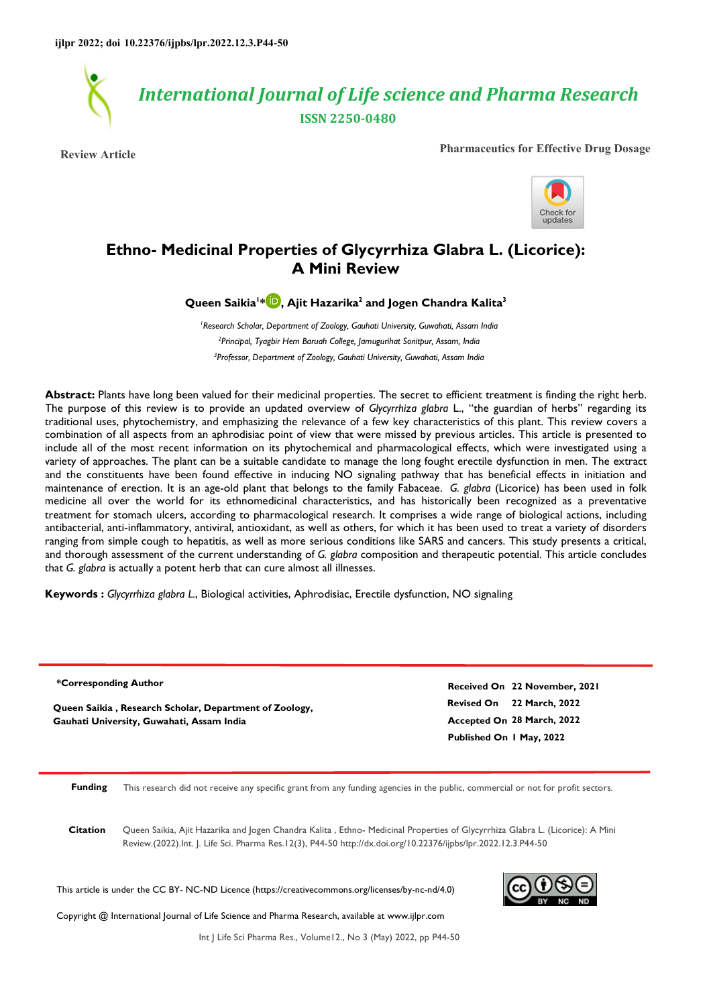*International Journal of Life science and Pharma Research*  **ISSN 2250-0480**

**Review Article Pharmaceutics for Effective Drug Dosage**



# **Ethno- Medicinal Properties of Glycyrrhiza Glabra L. (Licorice): A Mini Review**

**Queen Saikia<sup>1</sup> \* [,](https://orcid.org/0000-0002-9939-7962) Ajit Hazarika<sup>2</sup> and Jogen Chandra Kalita<sup>3</sup>**

*<sup>1</sup>Research Scholar, Department of Zoology, Gauhati University, Guwahati, Assam India 2 Principal, Tyagbir Hem Baruah College, Jamugurihat Sonitpur, Assam, India 3 Professor, Department of Zoology, Gauhati University, Guwahati, Assam India* 

**Abstract:** Plants have long been valued for their medicinal properties. The secret to efficient treatment is finding the right herb. The purpose of this review is to provide an updated overview of *Glycyrrhiza glabra* L., "the guardian of herbs" regarding its traditional uses, phytochemistry, and emphasizing the relevance of a few key characteristics of this plant. This review covers a combination of all aspects from an aphrodisiac point of view that were missed by previous articles. This article is presented to include all of the most recent information on its phytochemical and pharmacological effects, which were investigated using a variety of approaches. The plant can be a suitable candidate to manage the long fought erectile dysfunction in men. The extract and the constituents have been found effective in inducing NO signaling pathway that has beneficial effects in initiation and maintenance of erection. It is an age-old plant that belongs to the family Fabaceae. *G. glabra* (Licorice) has been used in folk medicine all over the world for its ethnomedicinal characteristics, and has historically been recognized as a preventative treatment for stomach ulcers, according to pharmacological research. It comprises a wide range of biological actions, including antibacterial, anti-inflammatory, antiviral, antioxidant, as well as others, for which it has been used to treat a variety of disorders ranging from simple cough to hepatitis, as well as more serious conditions like SARS and cancers. This study presents a critical, and thorough assessment of the current understanding of *G. glabra* composition and therapeutic potential. This article concludes that *G. glabra* is actually a potent herb that can cure almost all illnesses.

**Keywords :** *Glycyrrhiza glabra L.*, Biological activities, Aphrodisiac, Erectile dysfunction, NO signaling

**\*Corresponding Author**

**Queen Saikia , Research Scholar, Department of Zoology, Gauhati University, Guwahati, Assam India**

**Revised On 22 March, 2022 Accepted On 28 March, 2022 Published On 1 May, 2022 Received On 22 November, 2021**

**Funding** This research did not receive any specific grant from any funding agencies in the public, commercial or not for profit sectors.

**Citation** Queen Saikia, Ajit Hazarika and Jogen Chandra Kalita , Ethno- Medicinal Properties of Glycyrrhiza Glabra L. (Licorice): A Mini Review.(2022).Int. J. Life Sci. Pharma Res.12(3), P44-50 http://dx.doi.org/10.22376/ijpbs/lpr.2022.12.3.P44-50

This article is under the CC BY- NC-ND Licence (https://creativecommons.org/licenses/by-nc-nd/4.0)

Copyright @ International Journal of Life Science and Pharma Research, available at www.ijlpr.com



Int J Life Sci Pharma Res., Volume12., No 3 (May) 2022, pp P44-50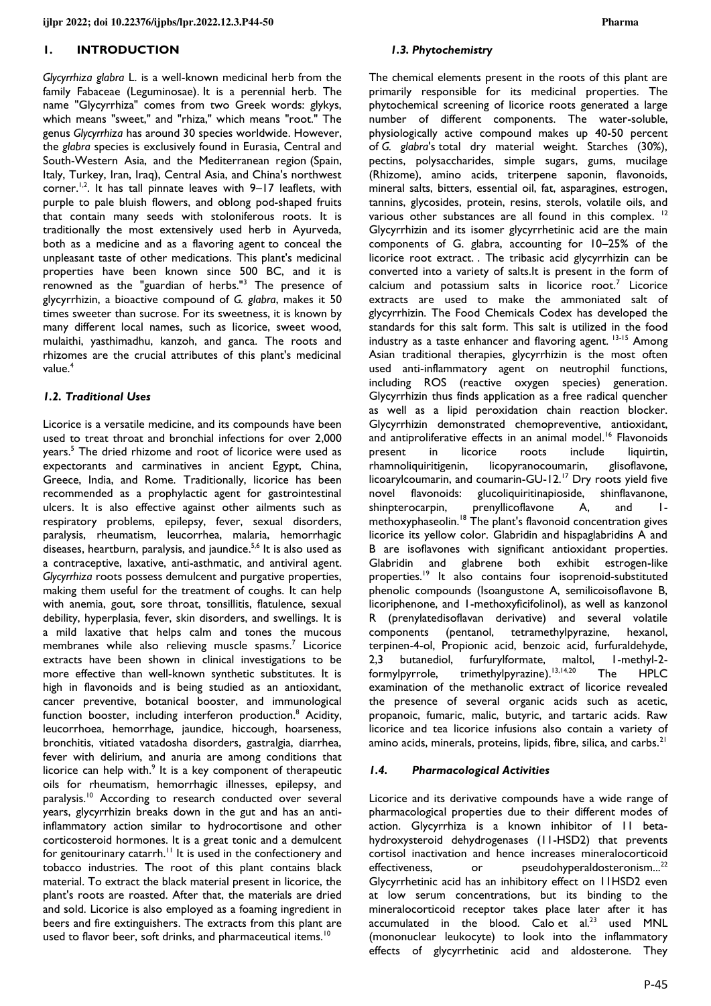# **1. INTRODUCTION**

*Glycyrrhiza glabra* L. is a well-known medicinal herb from the family Fabaceae (Leguminosae). It is a perennial herb. The name "Glycyrrhiza" comes from two Greek words: glykys, which means "sweet," and "rhiza," which means "root." The genus *Glycyrrhiza* has around 30 species worldwide. However, the *glabra* species is exclusively found in Eurasia, Central and South-Western Asia, and the Mediterranean region (Spain, Italy, Turkey, Iran, Iraq), Central Asia, and China's northwest corner.<sup>1,2</sup>. It has tall pinnate leaves with 9-17 leaflets, with purple to pale bluish flowers, and oblong pod-shaped fruits that contain many seeds with stoloniferous roots. It is traditionally the most extensively used herb in Ayurveda, both as a medicine and as a flavoring agent to conceal the unpleasant taste of other medications. This plant's medicinal properties have been known since 500 BC, and it is renowned as the "guardian of herbs."<sup>3</sup> The presence of glycyrrhizin, a bioactive compound of *G. glabra*, makes it 50 times sweeter than sucrose. For its sweetness, it is known by many different local names, such as licorice, sweet wood, mulaithi, yasthimadhu, kanzoh, and ganca. The roots and rhizomes are the crucial attributes of this plant's medicinal value.<sup>4</sup>

# *1.2. Traditional Uses*

Licorice is a versatile medicine, and its compounds have been used to treat throat and bronchial infections for over 2,000 years.<sup>5</sup> The dried rhizome and root of licorice were used as expectorants and carminatives in ancient Egypt, China, Greece, India, and Rome. Traditionally, licorice has been recommended as a prophylactic agent for gastrointestinal ulcers. It is also effective against other ailments such as respiratory problems, epilepsy, fever, sexual disorders, paralysis, rheumatism, leucorrhea, malaria, hemorrhagic diseases, heartburn, paralysis, and jaundice.<sup>5,6</sup> It is also used as a contraceptive, laxative, anti-asthmatic, and antiviral agent. *Glycyrrhiza* roots possess demulcent and purgative properties, making them useful for the treatment of coughs. It can help with anemia, gout, sore throat, tonsillitis, flatulence, sexual debility, hyperplasia, fever, skin disorders, and swellings. It is a mild laxative that helps calm and tones the mucous membranes while also relieving muscle spasms.<sup>7</sup> Licorice extracts have been shown in clinical investigations to be more effective than well-known synthetic substitutes. It is high in flavonoids and is being studied as an antioxidant, cancer preventive, botanical booster, and immunological function booster, including interferon production.<sup>8</sup> Acidity, leucorrhoea, hemorrhage, jaundice, hiccough, hoarseness, bronchitis, vitiated vatadosha disorders, gastralgia, diarrhea, fever with delirium, and anuria are among conditions that licorice can help with.<sup>9</sup> It is a key component of therapeutic oils for rheumatism, hemorrhagic illnesses, epilepsy, and paralysis.<sup>10</sup> According to research conducted over several years, glycyrrhizin breaks down in the gut and has an antiinflammatory action similar to hydrocortisone and other corticosteroid hormones. It is a great tonic and a demulcent for genitourinary catarrh.<sup>11</sup> It is used in the confectionery and tobacco industries. The root of this plant contains black material. To extract the black material present in licorice, the plant's roots are roasted. After that, the materials are dried and sold. Licorice is also employed as a foaming ingredient in beers and fire extinguishers. The extracts from this plant are used to flavor beer, soft drinks, and pharmaceutical items.<sup>10</sup>

# *1.3. Phytochemistry*

The chemical elements present in the roots of this plant are primarily responsible for its medicinal properties. The phytochemical screening of licorice roots generated a large number of different components. The water-soluble, physiologically active compound makes up 40-50 percent of *G. glabra*'s total dry material weight. Starches (30%), pectins, polysaccharides, simple sugars, gums, mucilage (Rhizome), amino acids, triterpene saponin, flavonoids, mineral salts, bitters, essential oil, fat, asparagines, estrogen, tannins, glycosides, protein, resins, sterols, volatile oils, and various other substances are all found in this complex.<sup>12</sup> Glycyrrhizin and its isomer glycyrrhetinic acid are the main components of G. glabra, accounting for 10–25% of the licorice root extract. . The tribasic acid glycyrrhizin can be converted into a variety of salts.It is present in the form of calcium and potassium salts in licorice root.<sup>7</sup> Licorice extracts are used to make the ammoniated salt of glycyrrhizin. The Food Chemicals Codex has developed the standards for this salt form. This salt is utilized in the food industry as a taste enhancer and flavoring agent. <sup>13-15</sup> Among Asian traditional therapies, glycyrrhizin is the most often used anti-inflammatory agent on neutrophil functions, including ROS (reactive oxygen species) generation. Glycyrrhizin thus finds application as a free radical quencher as well as a lipid peroxidation chain reaction blocker. Glycyrrhizin demonstrated chemopreventive, antioxidant, and antiproliferative effects in an animal model.<sup>16</sup> Flavonoids present in licorice roots include liquirtin, rhamnoliquiritigenin, licopyranocoumarin, glisoflavone, licoarylcoumarin, and coumarin-GU-12.<sup>17</sup> Dry roots yield five novel flavonoids: glucoliquiritinapioside, shinflavanone, shinpterocarpin, prenyllicoflavone A, and 1 methoxyphaseolin.<sup>18</sup> The plant's flavonoid concentration gives licorice its yellow color. Glabridin and hispaglabridins A and B are isoflavones with significant antioxidant properties. Glabridin and glabrene both exhibit estrogen-like properties.<sup>19</sup> It also contains four isoprenoid-substituted phenolic compounds (Isoangustone A, semilicoisoflavone B, licoriphenone, and 1-methoxyficifolinol), as well as kanzonol R (prenylatedisoflavan derivative) and several volatile components (pentanol, tetramethylpyrazine, hexanol, terpinen-4-ol, Propionic acid, benzoic acid, furfuraldehyde, 2,3 butanediol, furfurylformate, maltol, 1-methyl-2 formylpyrrole, trimethylpyrazine).<sup>13,14,20</sup> The HPLC examination of the methanolic extract of licorice revealed the presence of several organic acids such as acetic, propanoic, fumaric, malic, butyric, and tartaric acids. Raw licorice and tea licorice infusions also contain a variety of amino acids, minerals, proteins, lipids, fibre, silica, and carbs.<sup>21</sup>

# *1.4. Pharmacological Activities*

Licorice and its derivative compounds have a wide range of pharmacological properties due to their different modes of action. Glycyrrhiza is a known inhibitor of 11 betahydroxysteroid dehydrogenases (11-HSD2) that prevents cortisol inactivation and hence increases mineralocorticoid effectiveness, or pseudohyperaldosteronism...<sup>22</sup> Glycyrrhetinic acid has an inhibitory effect on 11HSD2 even at low serum concentrations, but its binding to the mineralocorticoid receptor takes place later after it has accumulated in the blood. Calo et al*.* <sup>23</sup> used MNL (mononuclear leukocyte) to look into the inflammatory effects of glycyrrhetinic acid and aldosterone. They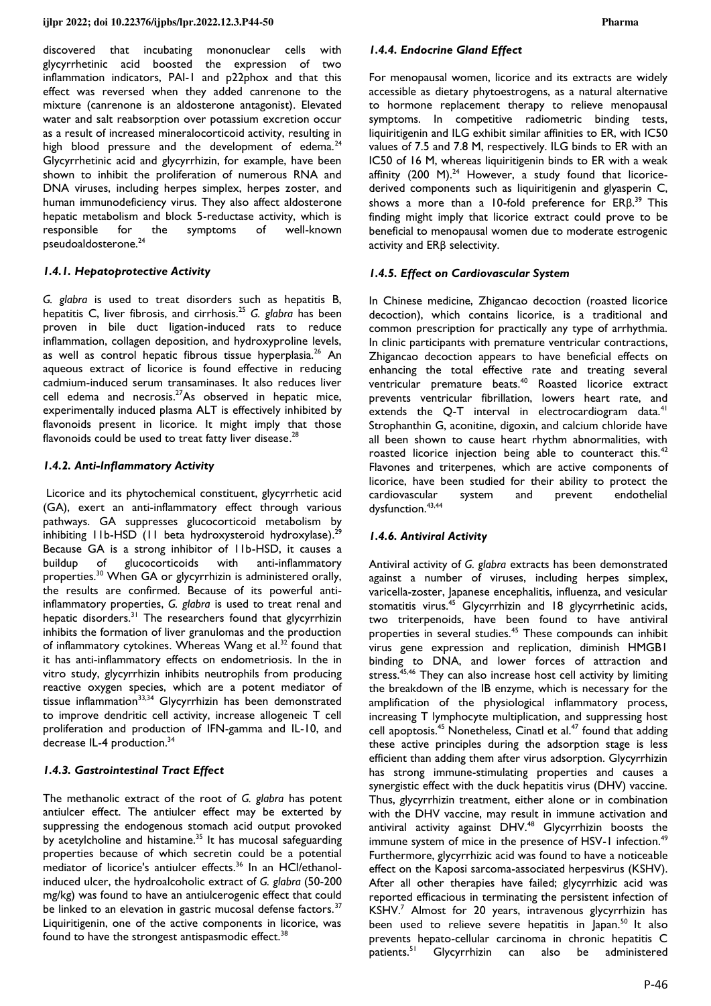discovered that incubating mononuclear cells with glycyrrhetinic acid boosted the expression of two inflammation indicators, PAI-1 and p22phox and that this effect was reversed when they added canrenone to the mixture (canrenone is an aldosterone antagonist). Elevated water and salt reabsorption over potassium excretion occur as a result of increased mineralocorticoid activity, resulting in high blood pressure and the development of edema. $^{24}$ Glycyrrhetinic acid and glycyrrhizin, for example, have been shown to inhibit the proliferation of numerous RNA and DNA viruses, including herpes simplex, herpes zoster, and human immunodeficiency virus. They also affect aldosterone hepatic metabolism and block 5-reductase activity, which is<br>responsible for the symptoms of well-known  $r$ esponsible for the pseudoaldosterone.<sup>24</sup>

### *1.4.1. Hepatoprotective Activity*

*G. glabra* is used to treat disorders such as hepatitis B, hepatitis C, liver fibrosis, and cirrhosis.<sup>25</sup> *G. glabra* has been proven in bile duct ligation-induced rats to reduce inflammation, collagen deposition, and hydroxyproline levels, as well as control hepatic fibrous tissue hyperplasia.<sup>26</sup> An aqueous extract of licorice is found effective in reducing cadmium-induced serum transaminases. It also reduces liver cell edema and necrosis. $27$ As observed in hepatic mice, experimentally induced plasma ALT is effectively inhibited by flavonoids present in licorice. It might imply that those flavonoids could be used to treat fatty liver disease.<sup>28</sup>

#### *1.4.2. Anti-Inflammatory Activity*

 Licorice and its phytochemical constituent, glycyrrhetic acid (GA), exert an anti-inflammatory effect through various pathways. GA suppresses glucocorticoid metabolism by inhibiting 11b-HSD (11 beta hydroxysteroid hydroxylase).<sup>29</sup> Because GA is a strong inhibitor of 11b-HSD, it causes a buildup of glucocorticoids with anti-inflammatory properties.<sup>30</sup> When GA or glycyrrhizin is administered orally, the results are confirmed. Because of its powerful antiinflammatory properties, *G. glabra* is used to treat renal and hepatic disorders.<sup>31</sup> The researchers found that glycyrrhizin inhibits the formation of liver granulomas and the production of inflammatory cytokines. Whereas Wang et al.<sup>32</sup> found that it has anti-inflammatory effects on endometriosis. In the in vitro study, glycyrrhizin inhibits neutrophils from producing reactive oxygen species, which are a potent mediator of tissue inflammation<sup>33,34</sup> Glycyrrhizin has been demonstrated to improve dendritic cell activity, increase allogeneic T cell proliferation and production of IFN-gamma and IL-10, and decrease IL-4 production.<sup>34</sup>

#### *1.4.3. Gastrointestinal Tract Effect*

The methanolic extract of the root of *G. glabra* has potent antiulcer effect. The antiulcer effect may be exterted by suppressing the endogenous stomach acid output provoked by acetylcholine and histamine.<sup>35</sup> It has mucosal safeguarding properties because of which secretin could be a potential mediator of licorice's antiulcer effects.<sup>36</sup> In an HCl/ethanolinduced ulcer, the hydroalcoholic extract of *G. glabra* (50-200 mg/kg) was found to have an antiulcerogenic effect that could be linked to an elevation in gastric mucosal defense factors.<sup>37</sup> Liquiritigenin, one of the active components in licorice, was found to have the strongest antispasmodic effect.<sup>38</sup>

#### *1.4.4. Endocrine Gland Effect*

For menopausal women, licorice and its extracts are widely accessible as dietary phytoestrogens, as a natural alternative to hormone replacement therapy to relieve menopausal symptoms. In competitive radiometric binding tests, liquiritigenin and ILG exhibit similar affinities to ER, with IC50 values of 7.5 and 7.8 M, respectively. ILG binds to ER with an IC50 of 16 M, whereas liquiritigenin binds to ER with a weak affinity  $(200 \text{ M})$ .<sup>24</sup> However, a study found that licoricederived components such as liquiritigenin and glyasperin C, shows a more than a 10-fold preference for  $ER\beta$ <sup>39</sup> This finding might imply that licorice extract could prove to be beneficial to menopausal women due to moderate estrogenic activity and ERβ selectivity.

## *1.4.5. Effect on Cardiovascular System*

In Chinese medicine, Zhigancao decoction (roasted licorice decoction), which contains licorice, is a traditional and common prescription for practically any type of arrhythmia. In clinic participants with premature ventricular contractions, Zhigancao decoction appears to have beneficial effects on enhancing the total effective rate and treating several ventricular premature beats.<sup>40</sup> Roasted licorice extract prevents ventricular fibrillation, lowers heart rate, and extends the Q-T interval in electrocardiogram data.<sup>41</sup> Strophanthin G, aconitine, digoxin, and calcium chloride have all been shown to cause heart rhythm abnormalities, with roasted licorice injection being able to counteract this.<sup>42</sup> Flavones and triterpenes, which are active components of licorice, have been studied for their ability to protect the cardiovascular system and prevent endothelial dysfunction.<sup>43,44</sup>

#### *1.4.6. Antiviral Activity*

Antiviral activity of *G. glabra* extracts has been demonstrated against a number of viruses, including herpes simplex, varicella-zoster, Japanese encephalitis, influenza, and vesicular stomatitis virus.<sup>45</sup> Glycyrrhizin and 18 glycyrrhetinic acids, two triterpenoids, have been found to have antiviral properties in several studies.<sup>45</sup> These compounds can inhibit virus gene expression and replication, diminish HMGB1 binding to DNA, and lower forces of attraction and stress. $45,46$  They can also increase host cell activity by limiting the breakdown of the IB enzyme, which is necessary for the amplification of the physiological inflammatory process, increasing T lymphocyte multiplication, and suppressing host cell apoptosis.<sup>45</sup> Nonetheless, Cinatl et al.<sup>47</sup> found that adding these active principles during the adsorption stage is less efficient than adding them after virus adsorption. Glycyrrhizin has strong immune-stimulating properties and causes a synergistic effect with the duck hepatitis virus (DHV) vaccine. Thus, glycyrrhizin treatment, either alone or in combination with the DHV vaccine, may result in immune activation and antiviral activity against DHV.<sup>48</sup> Glycyrrhizin boosts the immune system of mice in the presence of HSV-1 infection.<sup>49</sup> Furthermore, glycyrrhizic acid was found to have a noticeable effect on the Kaposi sarcoma-associated herpesvirus (KSHV). After all other therapies have failed; glycyrrhizic acid was reported efficacious in terminating the persistent infection of KSHV.<sup>7</sup> Almost for 20 years, intravenous glycyrrhizin has been used to relieve severe hepatitis in  $Iap^5$  lt also prevents hepato-cellular carcinoma in chronic hepatitis C patients.51 Glycyrrhizin can also be administered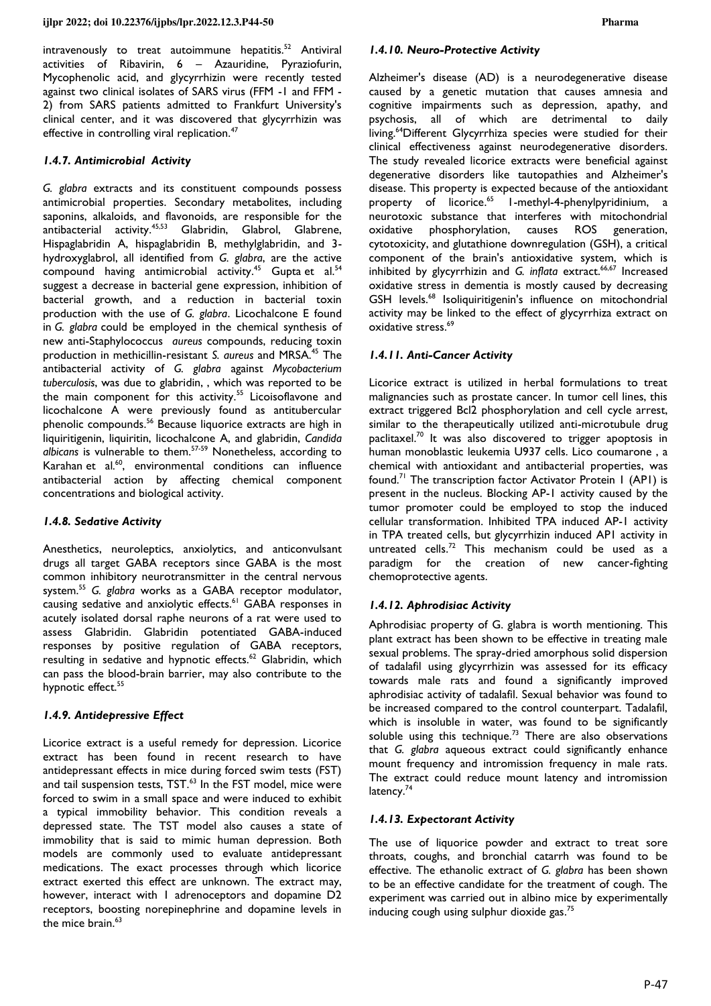$intravenously$  to treat autoimmune hepatitis.<sup>52</sup> Antiviral activities of Ribavirin, 6 – Azauridine, Pyraziofurin, Mycophenolic acid, and glycyrrhizin were recently tested against two clinical isolates of SARS virus (FFM -1 and FFM - 2) from SARS patients admitted to Frankfurt University's clinical center, and it was discovered that glycyrrhizin was effective in controlling viral replication.<sup>47</sup>

# *1.4.7. Antimicrobial Activity*

*G. glabra* extracts and its constituent compounds possess antimicrobial properties. Secondary metabolites, including saponins, alkaloids, and flavonoids, are responsible for the antibacterial activity.45,53 Glabridin, Glabrol, Glabrene, Hispaglabridin A, hispaglabridin B, methylglabridin, and 3 hydroxyglabrol, all identified from *G. glabra*, are the active compound having antimicrobial activity.<sup>45</sup> Gupta et al.<sup>54</sup> suggest a decrease in bacterial gene expression, inhibition of bacterial growth, and a reduction in bacterial toxin production with the use of *G. glabra*. Licochalcone E found in *G. glabra* could be employed in the chemical synthesis of new anti-Staphylococcus *aureus* compounds, reducing toxin production in methicillin-resistant *S. aureus* and MRSA.<sup>45</sup> The antibacterial activity of *G. glabra* against *Mycobacterium tuberculosis*, was due to glabridin, , which was reported to be the main component for this activity.<sup>55</sup> Licoisoflavone and licochalcone A were previously found as antitubercular phenolic compounds.<sup>56</sup> Because liquorice extracts are high in liquiritigenin, liquiritin, licochalcone A, and glabridin, *Candida albicans* is vulnerable to them.57-59 Nonetheless, according to Karahan et al.<sup>60</sup>, environmental conditions can influence antibacterial action by affecting chemical component concentrations and biological activity.

# *1.4.8. Sedative Activity*

Anesthetics, neuroleptics, anxiolytics, and anticonvulsant drugs all target GABA receptors since GABA is the most common inhibitory neurotransmitter in the central nervous system.<sup>55</sup> *G. glabra* works as a GABA receptor modulator, causing sedative and anxiolytic effects.<sup>61</sup> GABA responses in acutely isolated dorsal raphe neurons of a rat were used to assess Glabridin. Glabridin potentiated GABA-induced responses by positive regulation of GABA receptors, resulting in sedative and hypnotic effects.<sup>62</sup> Glabridin, which can pass the blood-brain barrier, may also contribute to the hypnotic effect.<sup>55</sup>

# *1.4.9. Antidepressive Effect*

Licorice extract is a useful remedy for depression. Licorice extract has been found in recent research to have antidepressant effects in mice during forced swim tests (FST) and tail suspension tests, TST.<sup>63</sup> In the FST model, mice were forced to swim in a small space and were induced to exhibit a typical immobility behavior. This condition reveals a depressed state. The TST model also causes a state of immobility that is said to mimic human depression. Both models are commonly used to evaluate antidepressant medications. The exact processes through which licorice extract exerted this effect are unknown. The extract may, however, interact with 1 adrenoceptors and dopamine D2 receptors, boosting norepinephrine and dopamine levels in the mice brain. $63$ 

## *1.4.10. Neuro-Protective Activity*

Alzheimer's disease (AD) is a neurodegenerative disease caused by a genetic mutation that causes amnesia and cognitive impairments such as depression, apathy, and psychosis, all of which are detrimental to daily living.<sup>64</sup>Different Glycyrrhiza species were studied for their clinical effectiveness against neurodegenerative disorders. The study revealed licorice extracts were beneficial against degenerative disorders like tautopathies and Alzheimer's disease. This property is expected because of the antioxidant property of licorice.<sup>65</sup> 1-methyl-4-phenylpyridinium, a neurotoxic substance that interferes with mitochondrial oxidative phosphorylation, causes ROS generation, cytotoxicity, and glutathione downregulation (GSH), a critical component of the brain's antioxidative system, which is inhibited by glycyrrhizin and *G. inflata* extract.<sup>66,67</sup> Increased oxidative stress in dementia is mostly caused by decreasing GSH levels.<sup>68</sup> Isoliquiritigenin's influence on mitochondrial activity may be linked to the effect of glycyrrhiza extract on oxidative stress.<sup>69</sup>

# *1.4.11. Anti-Cancer Activity*

Licorice extract is utilized in herbal formulations to treat malignancies such as prostate cancer. In tumor cell lines, this extract triggered Bcl2 phosphorylation and cell cycle arrest, similar to the therapeutically utilized anti-microtubule drug paclitaxel.<sup>70</sup> It was also discovered to trigger apoptosis in human monoblastic leukemia U937 cells. Lico coumarone , a chemical with antioxidant and antibacterial properties, was found.<sup>71</sup> The transcription factor Activator Protein 1 (AP1) is present in the nucleus. Blocking AP-1 activity caused by the tumor promoter could be employed to stop the induced cellular transformation. Inhibited TPA induced AP-1 activity in TPA treated cells, but glycyrrhizin induced AP1 activity in untreated cells.<sup>72</sup> This mechanism could be used as a paradigm for the creation of new cancer-fighting chemoprotective agents.

# *1.4.12. Aphrodisiac Activity*

Aphrodisiac property of G. glabra is worth mentioning. This plant extract has been shown to be effective in treating male sexual problems. The spray-dried amorphous solid dispersion of tadalafil using glycyrrhizin was assessed for its efficacy towards male rats and found a significantly improved aphrodisiac activity of tadalafil. Sexual behavior was found to be increased compared to the control counterpart. Tadalafil, which is insoluble in water, was found to be significantly soluble using this technique.<sup>73</sup> There are also observations that *G. glabra* aqueous extract could significantly enhance mount frequency and intromission frequency in male rats. The extract could reduce mount latency and intromission latency.<sup>74</sup>

# *1.4.13. Expectorant Activity*

The use of liquorice powder and extract to treat sore throats, coughs, and bronchial catarrh was found to be effective. The ethanolic extract of *G. glabra* has been shown to be an effective candidate for the treatment of cough. The experiment was carried out in albino mice by experimentally inducing cough using sulphur dioxide gas.<sup>75</sup>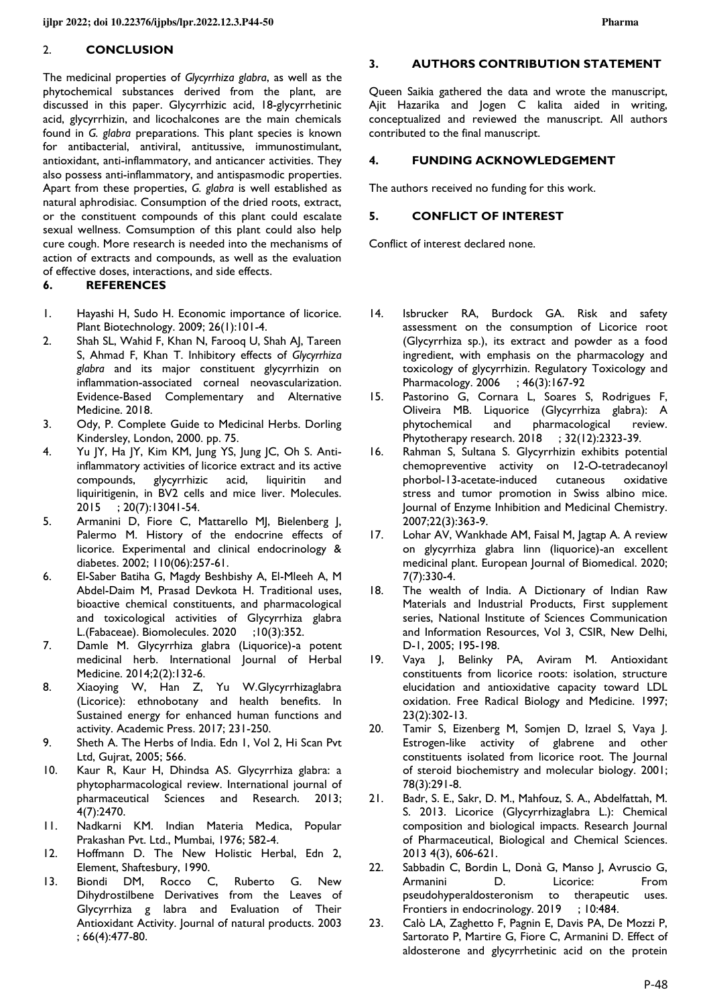# 2. **CONCLUSION**

The medicinal properties of *Glycyrrhiza glabra*, as well as the phytochemical substances derived from the plant, are discussed in this paper. Glycyrrhizic acid, 18-glycyrrhetinic acid, glycyrrhizin, and licochalcones are the main chemicals found in *G. glabra* preparations. This plant species is known for antibacterial, antiviral, antitussive, immunostimulant, antioxidant, anti-inflammatory, and anticancer activities. They also possess anti-inflammatory, and antispasmodic properties. Apart from these properties, *G. glabra* is well established as natural aphrodisiac. Consumption of the dried roots, extract, or the constituent compounds of this plant could escalate sexual wellness. Comsumption of this plant could also help cure cough. More research is needed into the mechanisms of action of extracts and compounds, as well as the evaluation of effective doses, interactions, and side effects.

## **6. REFERENCES**

- 1. Hayashi H, Sudo H. Economic importance of licorice. Plant Biotechnology. 2009; 26(1):101-4.
- 2. Shah SL, Wahid F, Khan N, Farooq U, Shah AJ, Tareen S, Ahmad F, Khan T. Inhibitory effects of *Glycyrrhiza glabra* and its major constituent glycyrrhizin on inflammation-associated corneal neovascularization. Evidence-Based Complementary and Alternative Medicine. 2018.
- 3. Ody, P. Complete Guide to Medicinal Herbs. Dorling Kindersley, London, 2000. pp. 75.
- 4. Yu JY, Ha JY, Kim KM, Jung YS, Jung JC, Oh S. Antiinflammatory activities of licorice extract and its active compounds, glycyrrhizic acid, liquiritin and liquiritigenin, in BV2 cells and mice liver. Molecules. 2015 ; 20(7):13041-54.
- 5. Armanini D, Fiore C, Mattarello MJ, Bielenberg J, Palermo M. History of the endocrine effects of licorice. Experimental and clinical endocrinology & diabetes. 2002; 110(06):257-61.
- 6. El-Saber Batiha G, Magdy Beshbishy A, El-Mleeh A, M Abdel-Daim M, Prasad Devkota H. Traditional uses, bioactive chemical constituents, and pharmacological and toxicological activities of Glycyrrhiza glabra L.(Fabaceae). Biomolecules. 2020 ;10(3):352.
- 7. Damle M. Glycyrrhiza glabra (Liquorice)-a potent medicinal herb. International Journal of Herbal Medicine. 2014;2(2):132-6.
- 8. Xiaoying W, Han Z, Yu W.Glycyrrhizaglabra (Licorice): ethnobotany and health benefits. In Sustained energy for enhanced human functions and activity. Academic Press. 2017; 231-250.
- 9. Sheth A. The Herbs of India. Edn 1, Vol 2, Hi Scan Pvt Ltd, Gujrat, 2005; 566.
- 10. Kaur R, Kaur H, Dhindsa AS. Glycyrrhiza glabra: a phytopharmacological review. International journal of pharmaceutical Sciences and Research. 2013; 4(7):2470.
- 11. Nadkarni KM. Indian Materia Medica, Popular Prakashan Pvt. Ltd., Mumbai, 1976; 582-4.
- 12. Hoffmann D. The New Holistic Herbal, Edn 2, Element, Shaftesbury, 1990.
- 13. Biondi DM, Rocco C, Ruberto G. New Dihydrostilbene Derivatives from the Leaves of Glycyrrhiza g labra and Evaluation of Their Antioxidant Activity. Journal of natural products. 2003 ; 66(4):477-80.

### **3. AUTHORS CONTRIBUTION STATEMENT**

Queen Saikia gathered the data and wrote the manuscript, Ajit Hazarika and Jogen C kalita aided in writing, conceptualized and reviewed the manuscript. All authors contributed to the final manuscript.

# **4. FUNDING ACKNOWLEDGEMENT**

The authors received no funding for this work.

## **5. CONFLICT OF INTEREST**

Conflict of interest declared none.

- 14. Isbrucker RA, Burdock GA. Risk and safety assessment on the consumption of Licorice root (Glycyrrhiza sp.), its extract and powder as a food ingredient, with emphasis on the pharmacology and toxicology of glycyrrhizin. Regulatory Toxicology and Pharmacology. 2006 ; 46(3):167-92
- 15. Pastorino G, Cornara L, Soares S, Rodrigues F, Oliveira MB. Liquorice (Glycyrrhiza glabra): A phytochemical and pharmacological review. Phytotherapy research. 2018 ; 32(12):2323-39.
- 16. Rahman S, Sultana S. Glycyrrhizin exhibits potential chemopreventive activity on 12-O-tetradecanoyl phorbol-13-acetate-induced cutaneous oxidative stress and tumor promotion in Swiss albino mice. Journal of Enzyme Inhibition and Medicinal Chemistry. 2007;22(3):363-9.
- 17. Lohar AV, Wankhade AM, Faisal M, Jagtap A. A review on glycyrrhiza glabra linn (liquorice)-an excellent medicinal plant. European Journal of Biomedical. 2020; 7(7):330-4.
- 18. The wealth of India. A Dictionary of Indian Raw Materials and Industrial Products, First supplement series, National Institute of Sciences Communication and Information Resources, Vol 3, CSIR, New Delhi, D-1, 2005; 195-198.
- 19. Vaya J, Belinky PA, Aviram M. Antioxidant constituents from licorice roots: isolation, structure elucidation and antioxidative capacity toward LDL oxidation. Free Radical Biology and Medicine. 1997; 23(2):302-13.
- 20. Tamir S, Eizenberg M, Somjen D, Izrael S, Vaya J. Estrogen-like activity of glabrene and other constituents isolated from licorice root. The Journal of steroid biochemistry and molecular biology. 2001; 78(3):291-8.
- 21. Badr, S. E., Sakr, D. M., Mahfouz, S. A., Abdelfattah, M. S. 2013. Licorice (Glycyrrhizaglabra L.): Chemical composition and biological impacts. Research Journal of Pharmaceutical, Biological and Chemical Sciences. 2013 4(3), 606-621.
- 22. Sabbadin C, Bordin L, Donà G, Manso J, Avruscio G, Armanini D. Licorice: From pseudohyperaldosteronism to therapeutic uses. Frontiers in endocrinology. 2019 ; 10:484.
- 23. Calò LA, Zaghetto F, Pagnin E, Davis PA, De Mozzi P, Sartorato P, Martire G, Fiore C, Armanini D. Effect of aldosterone and glycyrrhetinic acid on the protein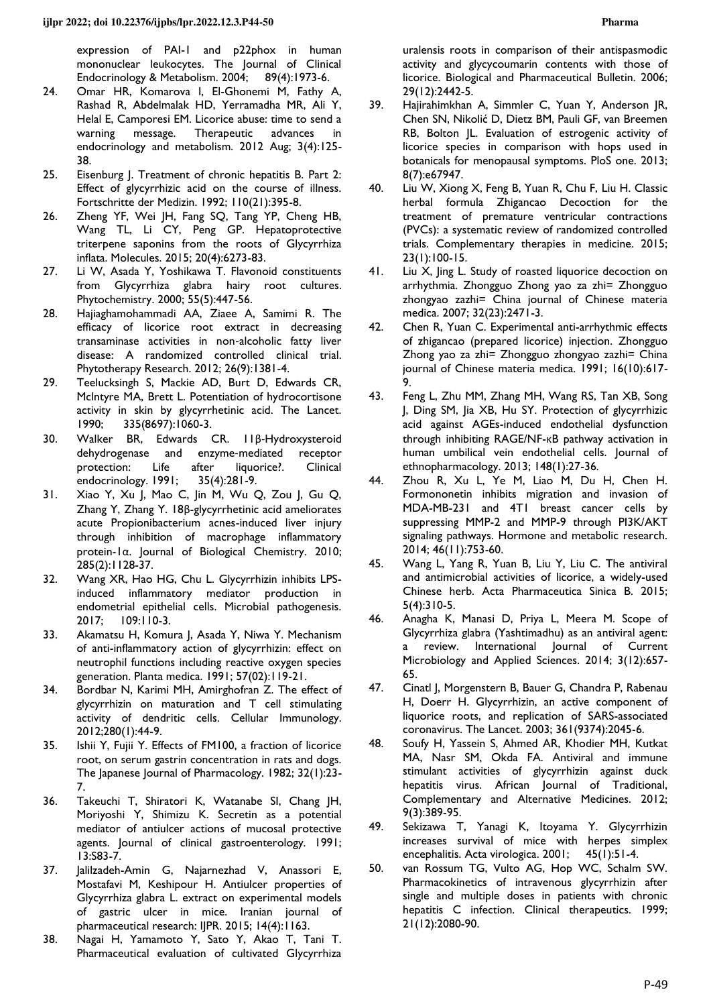expression of PAI-1 and p22phox in human mononuclear leukocytes. The Journal of Clinical Endocrinology & Metabolism. 2004; 89(4):1973-6.

- 24. Omar HR, Komarova I, El-Ghonemi M, Fathy A, Rashad R, Abdelmalak HD, Yerramadha MR, Ali Y, Helal E, Camporesi EM. Licorice abuse: time to send a warning message. Therapeutic advances in endocrinology and metabolism. 2012 Aug; 3(4):125- 38.
- 25. Eisenburg J. Treatment of chronic hepatitis B. Part 2: Effect of glycyrrhizic acid on the course of illness. Fortschritte der Medizin. 1992; 110(21):395-8.
- 26. Zheng YF, Wei JH, Fang SQ, Tang YP, Cheng HB, Wang TL, Li CY, Peng GP. Hepatoprotective triterpene saponins from the roots of Glycyrrhiza inflata. Molecules. 2015; 20(4):6273-83.
- 27. Li W, Asada Y, Yoshikawa T. Flavonoid constituents from Glycyrrhiza glabra hairy root cultures. Phytochemistry. 2000; 55(5):447-56.
- 28. Hajiaghamohammadi AA, Ziaee A, Samimi R. The efficacy of licorice root extract in decreasing transaminase activities in non‐alcoholic fatty liver disease: A randomized controlled clinical trial. Phytotherapy Research. 2012; 26(9):1381-4.
- 29. Teelucksingh S, Mackie AD, Burt D, Edwards CR, Mclntyre MA, Brett L. Potentiation of hydrocortisone activity in skin by glycyrrhetinic acid. The Lancet. 1990; 335(8697):1060-3.
- 30. Walker BR, Edwards CR. 11β‐Hydroxysteroid dehydrogenase and enzyme-mediated receptor<br>protection: Life after liquorice?. Clinical liquorice?. endocrinology. 1991; 35(4):281-9.
- 31. Xiao Y, Xu J, Mao C, Jin M, Wu Q, Zou J, Gu Q, Zhang Y, Zhang Y. 18β-glycyrrhetinic acid ameliorates acute Propionibacterium acnes-induced liver injury through inhibition of macrophage inflammatory protein-1α. Journal of Biological Chemistry. 2010; 285(2):1128-37.
- 32. Wang XR, Hao HG, Chu L. Glycyrrhizin inhibits LPSinduced inflammatory mediator production in endometrial epithelial cells. Microbial pathogenesis.<br>2017: 109:110-3.  $109:110-3.$
- 33. Akamatsu H, Komura J, Asada Y, Niwa Y. Mechanism of anti-inflammatory action of glycyrrhizin: effect on neutrophil functions including reactive oxygen species generation. Planta medica. 1991; 57(02):119-21.
- 34. Bordbar N, Karimi MH, Amirghofran Z. The effect of glycyrrhizin on maturation and T cell stimulating activity of dendritic cells. Cellular Immunology. 2012;280(1):44-9.
- 35. Ishii Y, Fujii Y. Effects of FM100, a fraction of licorice root, on serum gastrin concentration in rats and dogs. The Japanese Journal of Pharmacology. 1982; 32(1):23- 7.
- 36. Takeuchi T, Shiratori K, Watanabe SI, Chang JH, Moriyoshi Y, Shimizu K. Secretin as a potential mediator of antiulcer actions of mucosal protective agents. Journal of clinical gastroenterology. 1991; 13:S83-7.
- 37. Jalilzadeh-Amin G, Najarnezhad V, Anassori E, Mostafavi M, Keshipour H. Antiulcer properties of Glycyrrhiza glabra L. extract on experimental models of gastric ulcer in mice. Iranian journal of pharmaceutical research: IJPR. 2015; 14(4):1163.
- 38. Nagai H, Yamamoto Y, Sato Y, Akao T, Tani T. Pharmaceutical evaluation of cultivated Glycyrrhiza

uralensis roots in comparison of their antispasmodic activity and glycycoumarin contents with those of licorice. Biological and Pharmaceutical Bulletin. 2006; 29(12):2442-5.

- 39. Hajirahimkhan A, Simmler C, Yuan Y, Anderson JR, Chen SN, Nikolić D, Dietz BM, Pauli GF, van Breemen RB, Bolton JL. Evaluation of estrogenic activity of licorice species in comparison with hops used in botanicals for menopausal symptoms. PloS one. 2013; 8(7):e67947.
- 40. Liu W, Xiong X, Feng B, Yuan R, Chu F, Liu H. Classic herbal formula Zhigancao Decoction for the treatment of premature ventricular contractions (PVCs): a systematic review of randomized controlled trials. Complementary therapies in medicine. 2015; 23(1):100-15.
- 41. Liu X, Jing L. Study of roasted liquorice decoction on arrhythmia. Zhongguo Zhong yao za zhi= Zhongguo zhongyao zazhi= China journal of Chinese materia medica. 2007; 32(23):2471-3.
- 42. Chen R, Yuan C. Experimental anti-arrhythmic effects of zhigancao (prepared licorice) injection. Zhongguo Zhong yao za zhi= Zhongguo zhongyao zazhi= China journal of Chinese materia medica. 1991; 16(10):617- 9.
- 43. Feng L, Zhu MM, Zhang MH, Wang RS, Tan XB, Song J, Ding SM, Jia XB, Hu SY. Protection of glycyrrhizic acid against AGEs-induced endothelial dysfunction through inhibiting RAGE/NF-κB pathway activation in human umbilical vein endothelial cells. Journal of ethnopharmacology. 2013; 148(1):27-36.
- 44. Zhou R, Xu L, Ye M, Liao M, Du H, Chen H. Formononetin inhibits migration and invasion of MDA-MB-231 and 4T1 breast cancer cells by suppressing MMP-2 and MMP-9 through PI3K/AKT signaling pathways. Hormone and metabolic research. 2014; 46(11):753-60.
- 45. Wang L, Yang R, Yuan B, Liu Y, Liu C. The antiviral and antimicrobial activities of licorice, a widely-used Chinese herb. Acta Pharmaceutica Sinica B. 2015; 5(4):310-5.
- 46. Anagha K, Manasi D, Priya L, Meera M. Scope of Glycyrrhiza glabra (Yashtimadhu) as an antiviral agent: a review. International Journal of Current Microbiology and Applied Sciences. 2014; 3(12):657- 65.
- 47. Cinatl J, Morgenstern B, Bauer G, Chandra P, Rabenau H, Doerr H. Glycyrrhizin, an active component of liquorice roots, and replication of SARS-associated coronavirus. The Lancet. 2003; 361(9374):2045-6.
- 48. Soufy H, Yassein S, Ahmed AR, Khodier MH, Kutkat MA, Nasr SM, Okda FA. Antiviral and immune stimulant activities of glycyrrhizin against duck hepatitis virus. African Journal of Traditional, Complementary and Alternative Medicines. 2012; 9(3):389-95.
- 49. Sekizawa T, Yanagi K, Itoyama Y. Glycyrrhizin increases survival of mice with herpes simplex encephalitis. Acta virologica. 2001; 45(1):51-4.
- 50. van Rossum TG, Vulto AG, Hop WC, Schalm SW. Pharmacokinetics of intravenous glycyrrhizin after single and multiple doses in patients with chronic hepatitis C infection. Clinical therapeutics. 1999; 21(12):2080-90.